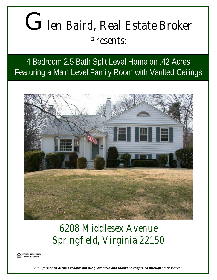## G*len Baird, Real Estate Broker Presents:*

4 Bedroom 2.5 Bath Split Level Home on .42 Acres Featuring a Main Level Family Room with Vaulted Ceilings



## *6208 Middlesex Avenue Springfield, Virginia 22150*



*All information deemed reliable but not guaranteed and should be confirmed through other sources.*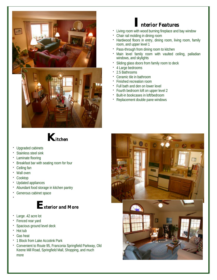

## **I***nterior Features*

- Living room with wood burning fireplace and bay window
- û Chair rail molding in dining room
- Hardwood floors in entry, dining room, living room, family room, and upper level 1
- Pass-through from dining room to kitchen
- Main level family room with vaulted ceiling, palladian windows, and skylights
- Sliding glass doors from family room to deck
- 4 Large bedrooms
- û 2.5 Bathrooms
- û Ceramic tile in bathroom
- û Finished recreation room
- Full bath and den on lower level
- Fourth bedroom loft on upper level 2
- Built-in bookcases in loft/bedroom
- Replacement double pane windows



- Upgraded cabinets
- Stainless steel sink
- Laminate flooring
- û Breakfast bar with seating room for four
- Ceiling fan
- Wall oven
- Cooktop
- Updated appliances
- Abundant food storage in kitchen pantry
- **·** Generous cabinet space û



- Large .42 acre lot
- Fenced rear yard
- **·** Spacious ground level deck
- Hot tub
- û Gas heat
- 1 Block from Lake Accotink Park
- û Convenient to Route 95, Franconia Springfield Parkway, Old Keene Mill Road, Springfield Mall, Shopping, and much more

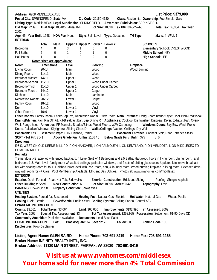**Address**: 6208 MIDDLESEX AVE **List Price: \$379,000 Postal City**: SPRINGFIELD **State**: VA **Zip Code**: 22150-4130 **Class**: Residential **Ownership**: Fee Simple, Sale **Listing Type**: Modified/Excl **Legal Subdivision**: SPRINGFIELD **Advertised Subdivision**: SPRINGFIELD **Old Map**: 22D9 **TBM Map**: 1064B5 **Area**: 8-4 **Lot Size**: 18398 **Tax ID#:** 80-3-2-74-3 **Total Tax**: \$3,064 **Tax Year**: 2002 **Age**: 45 **Year Built**: 1958 **HOA Fee**: None **Style**: Split Level **Type**: Detached **TH Type**: **#Lvls**: 4 **#Fpl**: 1 **INTERIOR Total Main Upper 1 Upper 2 Lower 1 Lower 2 SCHOOLS** Bedrooms 4 0 3 1 0 0 **Elementary School**: CRESTWOOD Full Baths 2 0 1 0 1 0 **Middle School**: KEY Half Baths 1 0 1 0 0 0 **High School**: LEE  **Room sizes are approximate Room Dimensions Level Flooring Fireplace** Living Room: 20x14 Main Wood Wood Burning Dining Room: 11x11 Main Main Wood Bedroom-Master: 14x11 Upper 1 Wood Bedroom-Second: 11x10 Upper 1 Wood Under Carpet Bedroom-Third: 11x10 Upper 1 Wood Under Carpet Bedroom-Fourth: 14x12 Upper 2 Carpet Kitchen: 11x10 Main Laminate Recreation Room: 20x12 Lower 1 Carpet Family Room: 18x12 Main Main Wood Den: 11x10 Lower 1 Vinyl Other Room 1: 10x9 Lower 1 Vinyl **Other Rooms**: Family Room, Lndry-Sep Rm, Recreation Room, Utility Room **Main Entrance**: Living RoomInterior Style: Floor Plan-Traditional **Dining/Kitchen**: Fam Rm Off Kit, Kit-Breakfast Bar, Sep Dining Rm **Appliances**: Cooktop, Dishwasher, Disposal, Dryer, Exhaust Fan, Oven-Wall, Range hood **Amenities**: FP Mantels, Shades/Blinds, Wood Floors, W/W Carpeting **Windows/Doors**: Bay/Bow Wind, French Doors, Palladian Windows, Skylight(s), Sliding Glass Dr **Walls/Ceilings**: Vaulted Ceilings, Dry Wall **Basement: Yes Basement Type: Fully Finished, Partial <b>Basement Entrance**: Connect Stair, Rear Entrance Stairs **SQFT - Tot Fin**: 2541 **Above Grade Fin / Unfin**: 2166 / 0 **Below Grade Fin / Unfin**: 375 / 0 **Directions**: I95 S, WEST ON OLD KEENE MILL RD, R ON HANOVER, L ON FALMOUTH, L ON KENTLAND, R ON MENDOTA, L ON MIDDLESEX TO HOME ON RIGHT **Remarks**: Tremendous .42 acre lot with fenced backyard. 4 Level Split w/ 4 Bedrooms and 2.5 Baths. Hardwood floors in living room, dining room, and bedrooms 1-3. Main level family room w/ vaulted ceilings, palladian windows, and 2 sets of sliding glass doors. Updated kitchen w/ breakfast bar with seating room for four. Finished lower level with Rec. room, den, & laundry room. Wood burning fireplace in living room. Extended driveway with room for 4+ Cars. Pool Membership Available. Efficient Gas Utilities. Photos at: www.nvahomes.com/middlesex **EXTERIOR Exterior**: Deck, Fenced - Rear, Hot Tub, Sidewalks **Exterior Construction**: Brick and Siding Roofing: Shingle-Asphalt **Other Buildings**: Shed **New Construction**: N **Lot Size**: 18398 **Acres**: 0.42 **Topography**: Level **PARKING**: Drvwy/Off Str **Property Condition**: Shows Well **UTILITIES Heating System**: Forced Air, Baseboard **Heating Fuel**: Natural Gas, Electric **Hot Water**: Natural Gas **Water**: Public **Cooling Fuel**: Electric **Sewer/Septic**: Public Sewer **Cooling System**: Ceiling Fan(s), Central A/C **FINANCIAL INFORMATION County**: \$3,061 **Total Taxes**: \$3,064 **Land**: \$60,000 **Improvements**: \$192,995 **Yr Assessed**: 2002 **Tax Year**: 2002 **Special Tax Assessment**: \$3 **Tot Tax Assessment**: \$252,995 **Possession**: Settlement, 61-90 Days CD **Community Amenities**: Pool Mem Available **Documents**: Lead Base Paint **LEGAL INFORMATION Lot**: 3 **Block/Square**: 74 **Section**: 23 **Folio#:** 803 **Zoning Code**: 130 **Disclosures**: Prop Disclaimer

**Listing Agent Name: GLEN BAIRD Home Phone: 703-691-8419 Home Fax: 703-691-1165 Broker Name: INFINITY REALTY INT'L, INC. Broker Address: 11130 MAIN STREET, FAIRFAX, VA 22030 703-691-8419**

**Visit us at www.nvahomes.com/middlesex Your home sold for never more than 4% Total Commission**